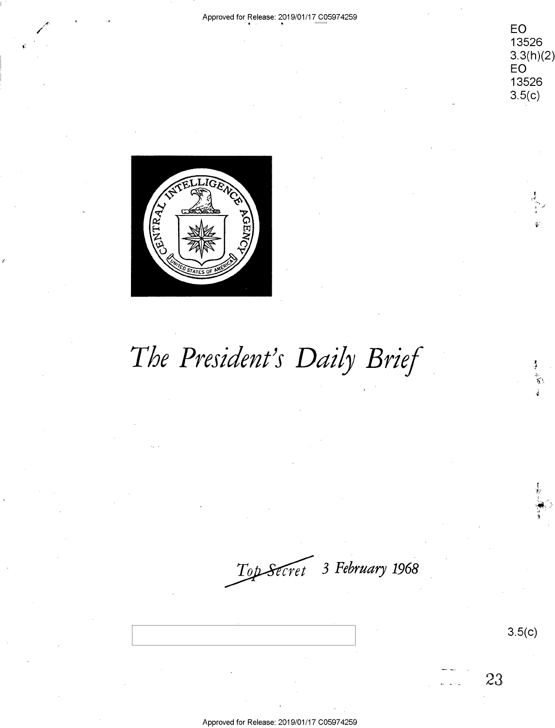Approved for Release: 2019/01/17 C05974259 EO 13526  $3.3(h)(2)$ EO 13526  $3.5(c)$ **IGR** GENTRA. The President's Daily Brief .<br>آرا Top Secret 3 February 1968  $3.5(c)$ 23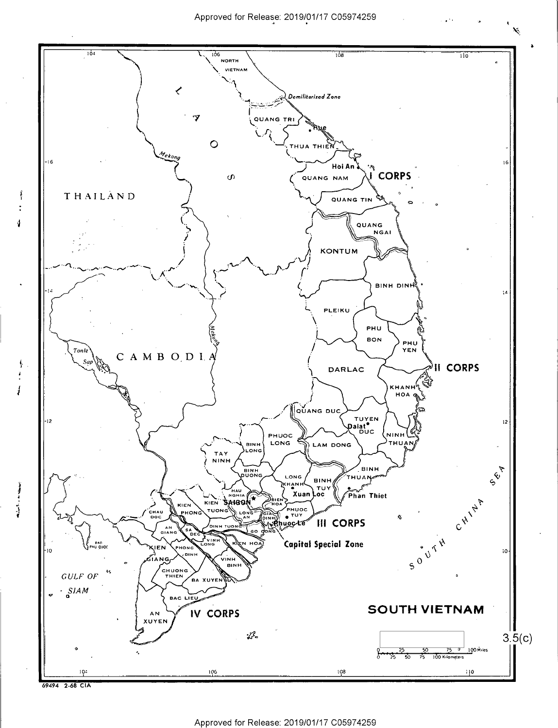$\mathbf{r}^{(k)}$ 





4,

 $\begin{array}{c}\n\frac{1}{2} \\
\frac{1}{2} \\
\frac{1}{2}\n\end{array}$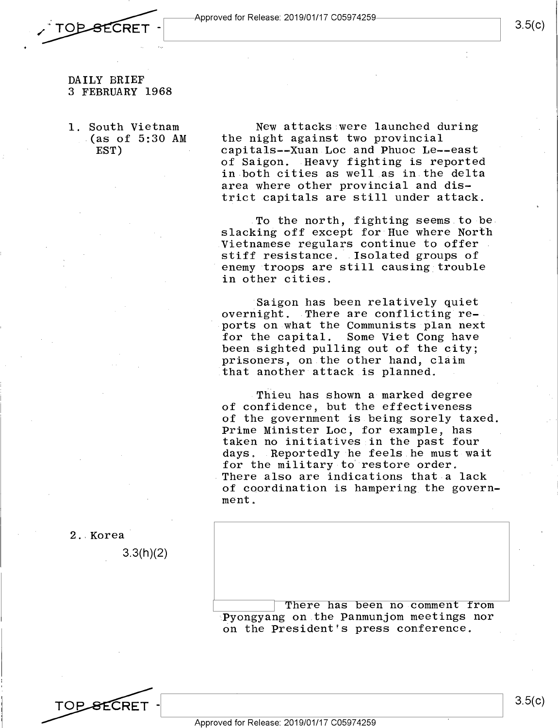

# TOP-SECRET

..

3.5(c)

#### DAILY BRIEF DAILY BRIEF 3 FEBRUARY 1968 3 FEBRUARY 1968

1. South Vietnam 1. South Vietnam  $(a s of 5:30 AM$  the EST) EST)

New attacks were launched during New attacks were launched during the night against two provincial the night against two provincial capitals--Xuan Loc and Phuoc Le--east of Saigon. Heavy fighting is reported of Saigon. .Heavy fighting is reported in both cities as well as in the delta in both cities as well as in.the delta area where other provincial and district capitals are still under attack. trict capitals are still under attack.

To the north, fighting seems to be. slacking off except for·Hue where North slacking off except for Hue where North Vietnamese regulars continue to offer \_Vietnamese regulars continue to offer stiff resistance. Isolated groups of stiff resistance. .Isolated groups of enemy troops are still causing trouble 'enemy troops are still causing trouble in other cities. in other cities.

Saigon has been relatively quiet overnight. There are conflicting reports on what the Communists plan next for the capital. Some Viet Cong have for the capital. Some Viet Cong have been sighted pulling out of the city; been sighted pulling out of the city; prisoners, on the other hand, claim prisoners, on the other hand, claim that another attack is planned. ithat another attack.is planned.

Thieu has shown a marked degree of confidence, but the effectiveness of confidence, but the effectiveness of the government is being sorely taxed. of the government is.being sorely taxed. Prime Minister Loe, for example, has Prime Minister Loc, for example, has taken no initiatives in the past four taken no initiatives in the past fOur days. Reportedly he feels he must wait for the military to· restore order. for the military-to restore order. There also are indications that a lack of coordination is hampering the govern-of coordination is hampering\_the government. ment.

2 .. Korea 2..Korea'

3.3(h)(2) 3.3(h)(2)

There has been no comment from Pyongyang on the Panmunjom meetings nor apyongyang on the Panmunjom meetings nor on the President's press conference.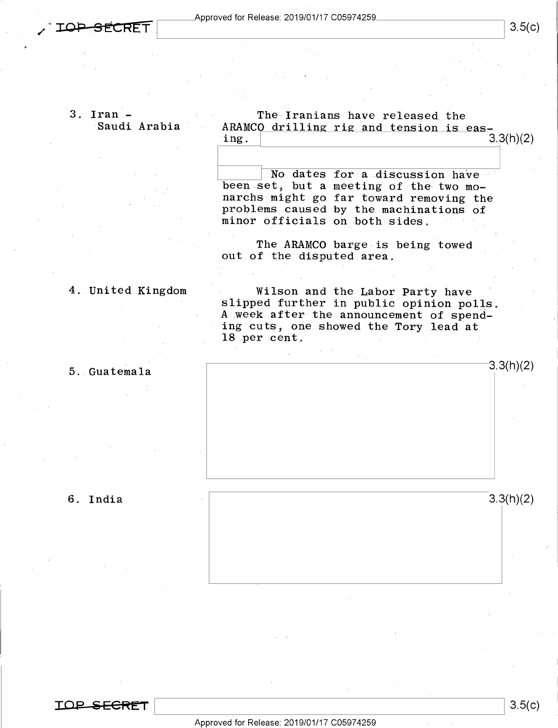#### 3. Iran - 3. Iran — Saudi Arabia 'Saudi Arabia'

The Iranians have released the ARAMCO drilling rig and tension  $ing.$  3.3(h)(2) The Iranians have released the ARAMCO drilling rig and tension is eas-<br>ing. 3.3(h)(2)

No dates for a discussion have been set, but a meeting of the two mo-been.set, but <sup>a</sup> meeting of the two mo narchs might go far toward removing the narchs'might-go far toward removing the problems caused by the machinations of presence on the month of the mathematical of  $\frac{1}{2}$  on  $\frac{1}{2}$  on  $\frac{1}{2}$  on  $\frac{1}{2}$  on  $\frac{1}{2}$  on  $\frac{1}{2}$  on  $\frac{1}{2}$  or  $\frac{1}{2}$  on  $\frac{1}{2}$  or  $\frac{1}{2}$  or  $\frac{1}{2}$  or  $\frac{1}{2}$  or  $\frac{1}{2}$  or  $\frac{1}{2}$ 

The ARAMCO barge is being towed The ARAMCO barge-is being towed out of the disputed area.

#### 4. United Kingdom 4..United.Kingdom

Wilson and the Labor Party have Wilson and the Labor Party have slipped further in public opinion polls. A week after the announcement of spend-A week after the.announcement of spending cuts, one showed the Tory lead at ing cuts, one showed the Tory lead at 18 per cent.  $-3.3(h)(2)$ 

#### 5. Guatemala 5..Guatemala

#### 6. India 6..India

 $3.3(h)(2)$ 

3.3(h)(2) 3.3(h)(2)



3.5(c)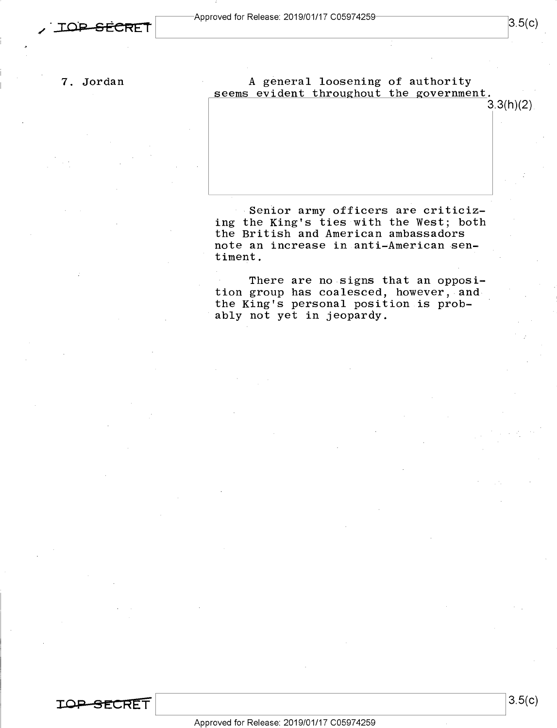A general loosening of authority seems evident throughout the government.<br>3.3(h)(2)

 $3.3(h)(2)$ 

 $3.5(c)$ 

Senior army officers are criticiz- Senior army officers are criticizing the King's ties with the West; both ing the King's ties with the West; both the British and American ambassadors the British and American ambassadors note an increase in anti-American sen-note an increase in.anti—American-sen timent.

There are no signs that an opposi-There are no signs that an opposi tion group has coalesced, however, and tion group has coalesced, however, andthe King's personal position is prob-the King's personal position is prob— ' ably not yet in jeopardy. 'ably not yet in jeopardy.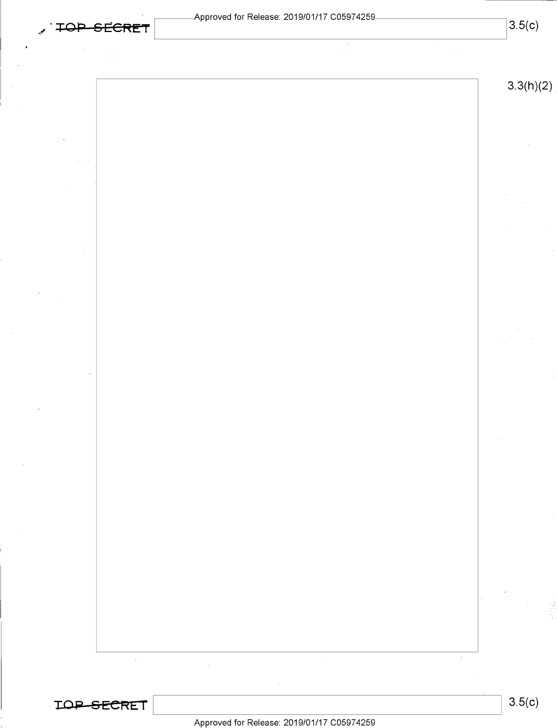| TOP SECRET | -ADDIOVED IOI INCIEASE. ZU 1970 I/I / COOS / 4209- | 3.5(c) |
|------------|----------------------------------------------------|--------|
|            |                                                    |        |

*,*

2/

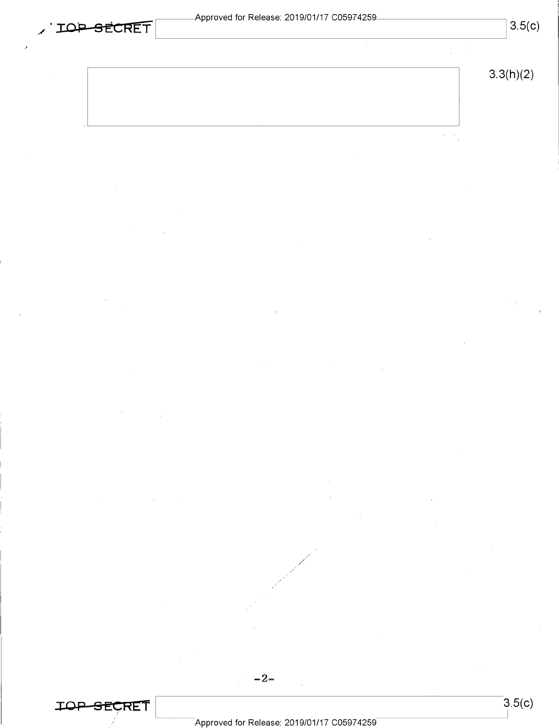|--|

 $\lambda\in\mathcal{A}_1$ 

 $-2-$ 

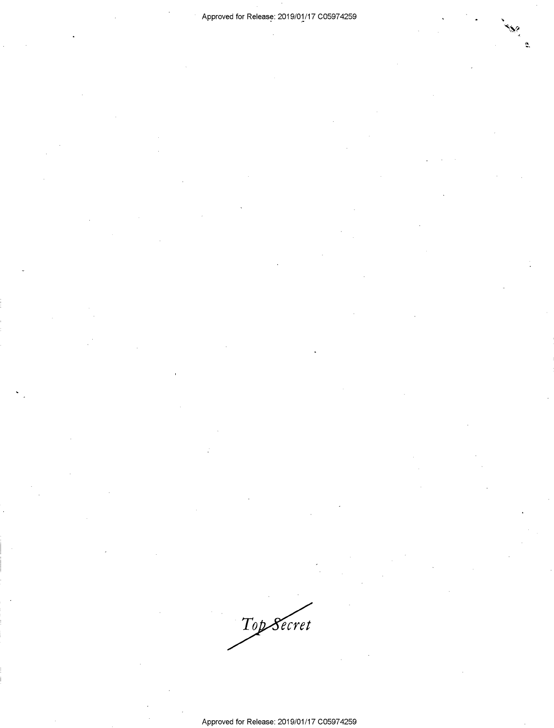'43:?

Ś.

Top Secret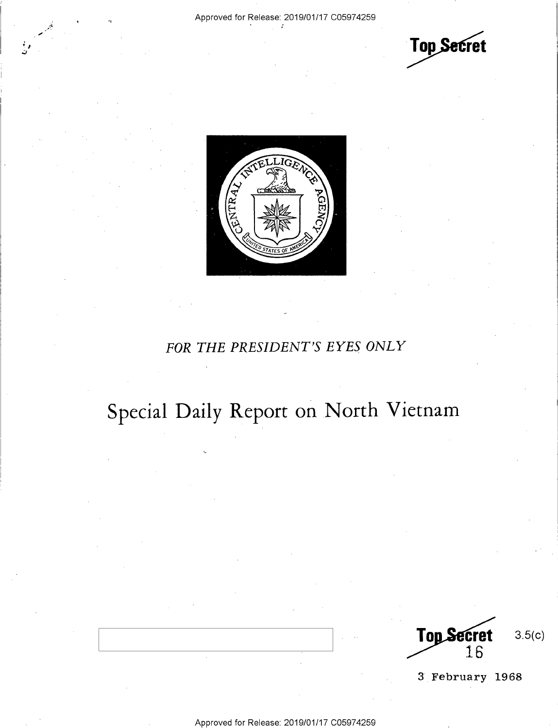' • *I* .;;

**Top Secret** 



### *FOR THE PRESIDENT'S EYES ONLY*  FOR THE PRESIDENT'S EYES ONLY

# Special Daily Report on North Vietnam Special Daily Report on North Vietnam

3.5(c) Top Secret 16

3 February 1968 3 February 1968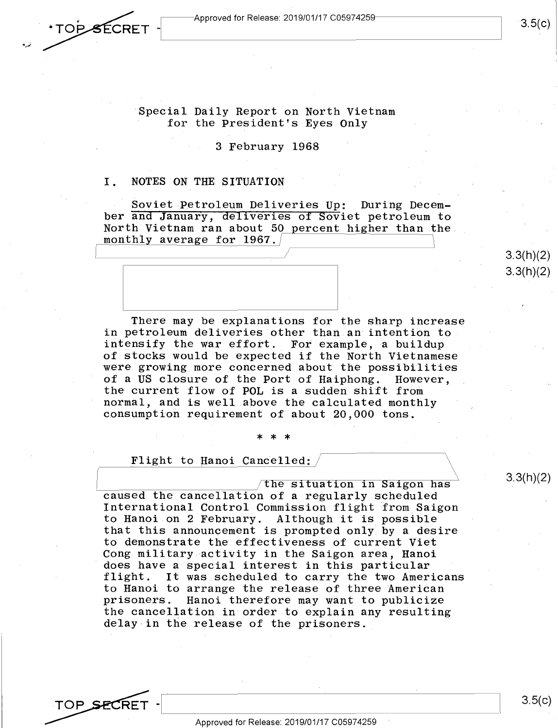TOP SECRET

3.5(c)

#### Special Daily Report on North Vietnam for the President's Eyes Only for the President's Eyes Only

#### 3 February 1968 3 February 1968

# I. NOTES ON THE SITUATION 1. NOTES ON THE SITUATION

Soviet Petroleum Deliveries Up: During Decem-Soviet Petroleum Deliveries Up: During Decem ber and January, deliveries of Soviet petroleum to ber and January, dEliveries of Soviet petroleum to North Vietnam ran about 50 percent higher than the monthly average for 1967.

There may be explanations for the sharp increase There may be explanations for the sharp increase in petroleum deliveries other than an intention to. In preservative and the contribution and intension of the market of the manner of the state of the state of the state of the state of the state of the state of the state of the state of the state of the state of the state of stocks would be expected if the North Vietnamese of stocks would be expected if the North Vietnamese were growing more .concerned about the possibilities were growing\_more concerned about the possibilities of a US closure of the Port of Haiphong. However, the current flow of POL is a sudden shift from the current flow of POL is <sup>a</sup> sudden shift from normal, and is well above the calculated monthly normal, and is well.above the calculated monthly consumption requirement of about 20,000 tons. consumption requirement of about 20,000 tons.

#### \* \* \* \*\*\*

Flight to Hanoi Cancelled:  $\sqrt{\phantom{a} \phantom{a}}$ 

The situation in Saigon has  $3.3(11)(2)$ caused the cancellation of a regularly scheduled caused the cancellation of <sup>a</sup> regularly scheduled International Control Commission flight from Saigon International Control Commission flight from\_Saigon to Hanoi on 2 February. Although it is possible to Hanoi on 2 February. Although it is possible that this announcement is prompted only by a desire that this announcement is prompted only by <sup>a</sup> desire to demonstrate the effectiveness of current Viet to demonstrate the effectiveness of current Viet Cong military activity in the Saigon area, Hanoi Cong military activity in the Saigon area, Hanoi does have a special interest in this particular does have <sup>a</sup> special interest in this particular flight. It was scheduled to carry the two Americans flight. It was scheduled to carry the two Americans to Hanoi to arrange the release of three American to Hanoi to arrange the release of three American prisoners. Hanoi therefore may want to publicize prisoners. Hanoi therefore may want to publicize the cancellation in order to explain any resulting the cancellation in order to explain any reSulting delay in the release of the prisoners.

3.3(h)(2)

3.3(h)(2) 3.3(h)(2)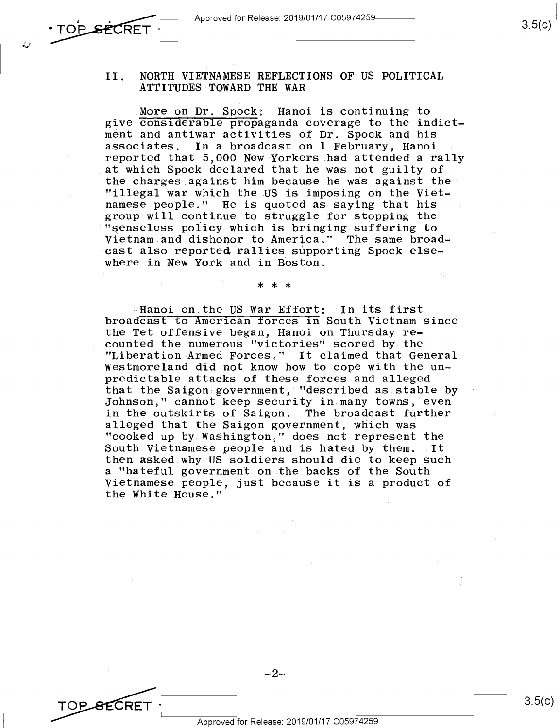, **,..,....·n** ~~ ~~-Approved for Release: 2019/01/17 C0597425~---------~ Approved for Release: 2019/01/17 C05974259 3am:

## TOP SECRET TOP SECRET

*: •. J* 

#### II. NORTH VIETNAMESE REFLECTIONS OF US POLITICAL II. NORTH VIETNAMESE REFLECTIONS OF US POLITICAL ATTITUDES TOWARD THE WAR ATTITUDES TOWARD THE WAR

More on Dr. Spock: Hanoi is continuing to give considerable propaganda coverage to the indictment and antiwar activities of Dr. Spock and his ment and antiwar activities of Dr° Spock and his associates. In a broadcast on 1 February, Hanoi reported that 5,000 New Yorkers had attended a rally reported that 5,000 New Yorkers had attended <sup>a</sup> rally at which Spock declared that he was not guilty of the charges against him because he was against the· the charges against him because he was against the' "illegal war which the US is imposing on the Viet-"illegal war\_Which the US is imposing on the Viet namese people." He is quoted as saying that his namese people." He is quoted as-saying that his group will continue to struggle for stopping the group will continue to Struggle for stopping the "~enseless policy which is bringing suffering to '"senseless policy which is bringing suffering to Vietnam and dishonor to America." The same broad-Vietnam.and dishonor to America." The same broad recommentations of morrison. The same side of the cast also reported rallies supporting Spock elsewhere in New York and in Boston. 'where in New York-and in Boston.

#### \* \* \* ل سات سات

Hanoi on the US War Effort: In its first ~Hanoi on the US War Effort: 'In its first broadcast to American forces in South Vietnam since the Tet offensive began, Hanoi on Thursday re-the Tet offensive began, Hanoi on Thursday re counted the numerous "victories" scored by the counted the numerous "victories" scored by the "Liberation Armed Forces." It claimed that General "Liberation-Armed Forces." It claimed that General Westmoreland did not know how to cope with the unpredictable attacks of these forces and alleged predictable attacks of these forces and alleged that the Saigon government, "described as stable by that the Saigon government, "described as stable by Johnson," cannot keep security in many towns, even in the outskirts of Saigon. The broadcast further in the outskirts of Saigon. The broadcast further alleged that the Saigon government, which was alleged that the Saigon government, Which was "cooked up by Washington," does not represent the "cooked up by WaShington," does not represent the South Vietnamese people and is hated by them. It South.Vietnamese people and is hated by them. .It then asked why US soldiers should die to keep such then.asked why US soldiers should-die to keep such a "hateful government on the backs of the South <sup>a</sup> "hateful government on.the backs of the South Vietnamese people, just because it is a product of Vietnamese people, just because it is <sup>a</sup> product of the White House." the White House." '

-2-